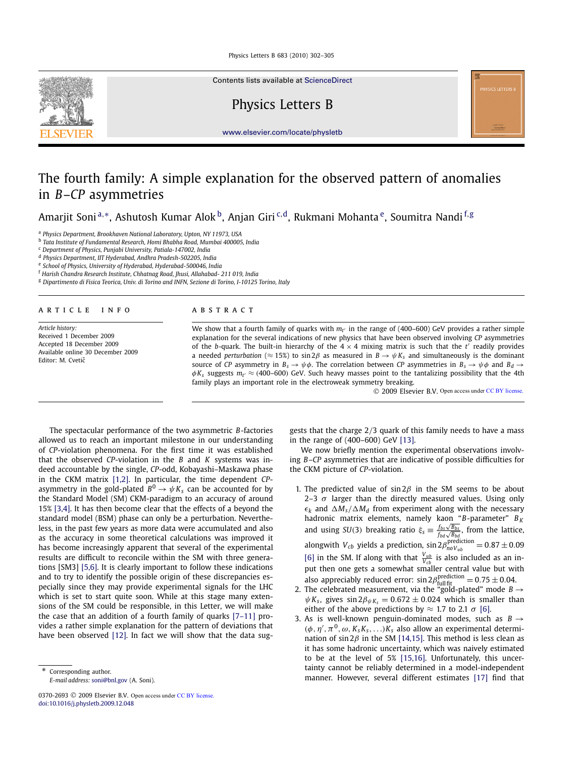Contents lists available at [ScienceDirect](http://www.ScienceDirect.com/)

# Physics Letters B





# The fourth family: A simple explanation for the observed pattern of anomalies in *B*–*CP* asymmetries

Amarjit Soni <sup>a,</sup>\*, Ashutosh Kumar Alok <sup>b</sup>, Anjan Giri <sup>c,d</sup>, Rukmani Mohanta <sup>e</sup>, Soumitra Nandi <sup>f,g</sup>

<sup>a</sup> *Physics Department, Brookhaven National Laboratory, Upton, NY 11973, USA*

b *Tata Institute of Fundamental Research, Homi Bhabha Road, Mumbai 400005, India*

<sup>c</sup> *Department of Physics, Punjabi University, Patiala-147002, India*

<sup>d</sup> *Physics Department, IIT Hyderabad, Andhra Pradesh-502205, India*

e *School of Physics, University of Hyderabad, Hyderabad-500046, India*

<sup>f</sup> *Harish Chandra Research Institute, Chhatnag Road, Jhusi, Allahabad- 211 019, India*

<sup>g</sup> *Dipartimento di Fisica Teorica, Univ. di Torino and INFN, Sezione di Torino, I-10125 Torino, Italy*

# article info abstract

*Article history:* Received 1 December 2009 Accepted 18 December 2009 Available online 30 December 2009 Editor: M. Cvetič

We show that a fourth family of quarks with  $m_{t'}$  in the range of (400–600) GeV provides a rather simple explanation for the several indications of new physics that have been observed involving *CP* asymmetries of the *b*-quark. The built-in hierarchy of the  $4 \times 4$  mixing matrix is such that the *t'* readily provides a needed *perturbation* ( $\approx$  15%) to sin  $2\beta$  as measured in  $B \to \psi K_s$  and simultaneously is the dominant source of *CP* asymmetry in  $B_s \to \psi \phi$ . The correlation between *CP* asymmetries in  $B_s \to \psi \phi$  and  $B_d \to$  $\phi K_s$  suggests  $m_{t'} \approx$  (400–600) GeV. Such heavy masses point to the tantalizing possibility that the 4th family plays an important role in the electroweak symmetry breaking.

2009 Elsevier B.V. Open access under CC BY license.

**YSICS LETTERS** 

The spectacular performance of the two asymmetric *B*-factories allowed us to reach an important milestone in our understanding of *CP*-violation phenomena. For the first time it was established that the observed *CP*-violation in the *B* and *K* systems was indeed accountable by the single, *CP*-odd, Kobayashi–Maskawa phase in the CKM matrix [\[1,2\].](#page-3-0) In particular, the time dependent *CP*asymmetry in the gold-plated  $B^0 \to \psi K_s$  can be accounted for by the Standard Model (SM) CKM-paradigm to an accuracy of around 15% [\[3,4\].](#page-3-0) It has then become clear that the effects of a beyond the standard model (BSM) phase can only be a perturbation. Nevertheless, in the past few years as more data were accumulated and also as the accuracy in some theoretical calculations was improved it has become increasingly apparent that several of the experimental results are difficult to reconcile within the SM with three generations [SM3] [\[5,6\].](#page-3-0) It is clearly important to follow these indications and to try to identify the possible origin of these discrepancies especially since they may provide experimental signals for the LHC which is set to start quite soon. While at this stage many extensions of the SM could be responsible, in this Letter, we will make the case that an addition of a fourth family of quarks [\[7–11\]](#page-3-0) provides a rather simple explanation for the pattern of deviations that have been observed [\[12\].](#page-3-0) In fact we will show that the data suggests that the charge 2/3 quark of this family needs to have a mass in the range of (400–600) GeV [\[13\].](#page-3-0)

We now briefly mention the experimental observations involving *B*–*CP* asymmetries that are indicative of possible difficulties for the CKM picture of *CP*-violation.

- 1. The predicted value of sin  $2\beta$  in the SM seems to be about 2–3  $\sigma$  larger than the directly measured values. Using only  $\epsilon_k$  and  $\Delta M_s/\Delta M_d$  from experiment along with the necessary hadronic matrix elements, namely kaon "*B*-parameter" *B <sup>K</sup>* and using *SU*(3) breaking ratio  $\xi_s = \frac{f_{bs}\sqrt{B_{bs}}}{f_{bd}\sqrt{B_{bd}}}$ , from the lattice, alongwith  $V_{cb}$  yields a prediction,  $\sin 2\beta_{no}^{\text{prediction}} = 0.87 \pm 0.09$ [\[6\]](#page-3-0) in the SM. If along with that  $\frac{V_{ub}}{V_{cb}}$  is also included as an input then one gets a somewhat smaller central value but with also appreciably reduced error:  $\sin 2\beta_{\text{full fit}}^{\text{prediction}} = 0.75 \pm 0.04$ .
- 2. The celebrated measurement, via the "gold-plated" mode  $B \rightarrow$  $\psi K_s$ , gives  $\sin 2\beta_{\psi K_s} = 0.672 \pm 0.024$  which is smaller than either of the above predictions by  $\approx$  1.7 to 2.1  $\sigma$  [\[6\].](#page-3-0)
- 3. As is well-known penguin-dominated modes, such as  $B \rightarrow$  $(\phi, \eta', \pi^0, \omega, K_sK_s, \ldots)K_s$  also allow an experimental determination of sin  $2\beta$  in the SM [\[14,15\].](#page-3-0) This method is less clean as it has some hadronic uncertainty, which was naively estimated to be at the level of 5% [\[15,16\].](#page-3-0) Unfortunately, this uncertainty cannot be reliably determined in a model-independent manner. However, several different estimates [\[17\]](#page-3-0) find that

Corresponding author. *E-mail address:* [soni@bnl.gov](mailto:soni@bnl.gov) (A. Soni).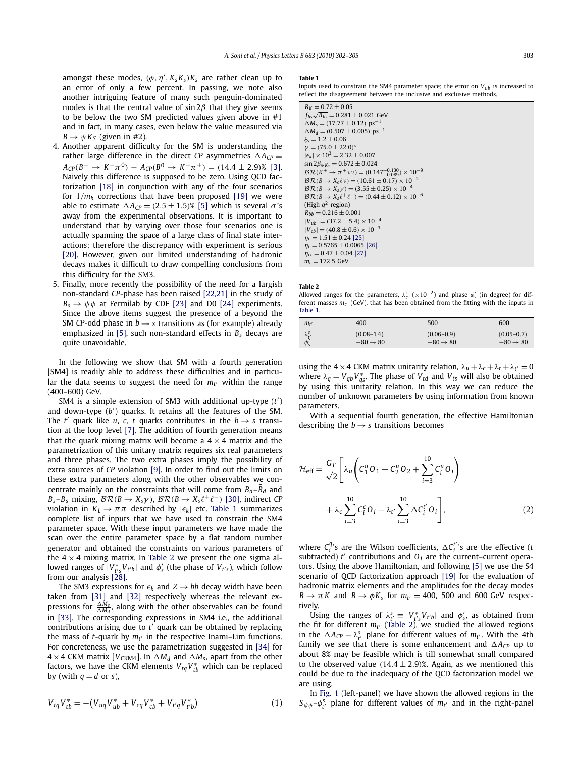amongst these modes,  $(\phi, \eta', K_s K_s)K_s$  are rather clean up to an error of only a few percent. In passing, we note also another intriguing feature of many such penguin-dominated modes is that the central value of  $\sin 2\beta$  that they give seems to be below the two SM predicted values given above in #1 and in fact, in many cases, even below the value measured via  $B \rightarrow \psi K_S$  (given in #2).

- 4. Another apparent difficulty for the SM is understanding the rather large difference in the direct *CP* asymmetries  $\Delta A_{CP}$  $A_{CP}(B^- \to K^- \pi^0) - A_{CP}(B^0 \to K^- \pi^+) = (14.4 \pm 2.9)\%$  [\[3\].](#page-3-0) Naively this difference is supposed to be zero. Using QCD factorization [\[18\]](#page-3-0) in conjunction with any of the four scenarios for  $1/m_b$  corrections that have been proposed [\[19\]](#page-3-0) we were able to estimate  $\Delta A_{CP} = (2.5 \pm 1.5)$ % [\[5\]](#page-3-0) which is several  $\sigma$ 's away from the experimental observations. It is important to understand that by varying over those four scenarios one is actually spanning the space of a large class of final state interactions; therefore the discrepancy with experiment is serious [\[20\].](#page-3-0) However, given our limited understanding of hadronic decays makes it difficult to draw compelling conclusions from this difficulty for the SM3.
- 5. Finally, more recently the possibility of the need for a largish non-standard *CP*-phase has been raised [\[22,21\]](#page-3-0) in the study of  $B_s \rightarrow \psi \phi$  at Fermilab by CDF [\[23\]](#page-3-0) and D0 [\[24\]](#page-3-0) experiments. Since the above items suggest the presence of a beyond the SM *CP*-odd phase in  $b \rightarrow s$  transitions as (for example) already emphasized in [\[5\],](#page-3-0) such non-standard effects in *B<sup>s</sup>* decays are quite unavoidable.

In the following we show that SM with a fourth generation [SM4] is readily able to address these difficulties and in particular the data seems to suggest the need for *m<sup>t</sup>* ′ within the range (400–600) GeV.

SM4 is a simple extension of SM3 with additional up-type (*t* ′ ) and down-type (*b* ′ ) quarks. It retains all the features of the SM. The *t'* quark like *u*, *c*, *t* quarks contributes in the  $b \rightarrow s$  transition at the loop level [\[7\].](#page-3-0) The addition of fourth generation means that the quark mixing matrix will become a  $4 \times 4$  matrix and the parametrization of this unitary matrix requires six real parameters and three phases. The two extra phases imply the possibility of extra sources of *CP* violation [\[9\].](#page-3-0) In order to find out the limits on these extra parameters along with the other observables we concentrate mainly on the constraints that will come from  $B_d$ – $B_d$  and  $B_s - \bar{B}_s$  mixing,  $\mathcal{BR}(B \to X_s \gamma)$ ,  $\mathcal{BR}(B \to X_s \ell^+ \ell^-)$  [\[30\],](#page-3-0) indirect *CP* violation in  $K_L \rightarrow \pi \pi$  described by  $|\epsilon_k|$  etc. Table 1 summarizes complete list of inputs that we have used to constrain the SM4 parameter space. With these input parameters we have made the scan over the entire parameter space by a flat random number generator and obtained the constraints on various parameters of the  $4 \times 4$  mixing matrix. In Table 2 we present the one sigma allowed ranges of  $|V^*_{t's}V_{t'b}|$  and  $\phi'_s$  (the phase of  $V_{t's}$ ), which follow from our analysis [\[28\].](#page-3-0)

The SM3 expressions for  $\epsilon_k$  and  $Z \rightarrow bb$  decay width have been taken from [\[31\]](#page-3-0) and [\[32\]](#page-3-0) respectively whereas the relevant ex-<br>pressions for  $\frac{\Delta M_s}{\Delta M_d}$ , along with the other observables can be found in [\[33\].](#page-3-0) The corresponding expressions in SM4 i.e., the additional contributions arising due to *t* ′ quark can be obtained by replacing the mass of *t*-quark by *m<sup>t</sup>* ′ in the respective Inami–Lim functions. For concreteness, we use the parametrization suggested in [\[34\]](#page-3-0) for  $4 \times 4$  CKM matrix [ $V_{CKM4}$ ]. In  $\Delta M_d$  and  $\Delta M_s$ , apart from the other factors, we have the CKM elements  $\it{V}_{tq}V^*_{tb}$  which can be replaced by (with  $q = d$  or *s*),

$$
V_{tq}V_{tb}^* = -(V_{uq}V_{ub}^* + V_{cq}V_{cb}^* + V_{t'q}V_{t'b}^*)
$$
\n(1)

#### **Table 1**

Inputs used to constrain the SM4 parameter space; the error on  $V_{ub}$  is increased to reflect the disagreement between the inclusive and exclusive methods.

| $B_K = 0.72 \pm 0.05$                                                  |
|------------------------------------------------------------------------|
| $f_{hs}\sqrt{B_{hs}} = 0.281 \pm 0.021$ GeV                            |
| $\Delta M_s = (17.77 \pm 0.12)$ ps <sup>-1</sup>                       |
| $\Delta M_d = (0.507 \pm 0.005)$ ps <sup>-1</sup>                      |
| $\xi$ <sub>s</sub> = 1.2 $\pm$ 0.06                                    |
| $\nu = (75.0 \pm 22.0)^{\circ}$                                        |
| $ \epsilon_k  \times 10^3 = 2.32 \pm 0.007$                            |
| $\sin 2\beta_{\psi K_c} = 0.672 \pm 0.024$                             |
| $BR(K^+ \to \pi^+ \nu \nu) = (0.147^{+0.130}_{-0.089}) \times 10^{-9}$ |
| $BR(B \to X_c \ell \nu) = (10.61 \pm 0.17) \times 10^{-2}$             |
| $BR(B \to X, \gamma) = (3.55 \pm 0.25) \times 10^{-4}$                 |
| $BR(B \to X_s \ell^+ \ell^-) = (0.44 \pm 0.12) \times 10^{-6}$         |
| (High $q^2$ region)                                                    |
| $R_{hh} = 0.216 \pm 0.001$                                             |
| $ V_{ub}  = (37.2 \pm 5.4) \times 10^{-4}$                             |
| $ V_{ch}  = (40.8 \pm 0.6) \times 10^{-3}$                             |
| $\eta_c = 1.51 \pm 0.24$ [25]                                          |
| $n_t = 0.5765 \pm 0.0065$ [26]                                         |
| $\eta_{\rm ct} = 0.47 \pm 0.04$ [27]                                   |
| $m_t = 172.5$ GeV                                                      |

### **Table 2**

Allowed ranges for the parameters,  $\lambda_{t'}^s$  ( $\times 10^{-2}$ ) and phase  $\phi_s'$  (in degree) for dif-First masses  $m_t$ <sup>*'*</sup> (GeV), that has been obtained from the fitting with the inputs in Table 1.

| $m_{t}$          | 400                  | 500                  | 600                  |
|------------------|----------------------|----------------------|----------------------|
| $\lambda_{t'}^s$ | $(0.08 - 1.4)$       | $(0.06 - 0.9)$       | $(0.05 - 0.7)$       |
| $\phi_{S}$       | $-80 \rightarrow 80$ | $-80 \rightarrow 80$ | $-80 \rightarrow 80$ |

using the 4 × 4 CKM matrix unitarity relation,  $\lambda_u + \lambda_c + \lambda_t + \lambda_{t'} = 0$ where  $\lambda_q = V_{qb} V_{qs}^*$ . The phase of  $V_{td}$  and  $V_{ts}$  will also be obtained by using this unitarity relation. In this way we can reduce the number of unknown parameters by using information from known parameters.

With a sequential fourth generation, the effective Hamiltonian describing the  $b \rightarrow s$  transitions becomes

$$
\mathcal{H}_{\text{eff}} = \frac{G_F}{\sqrt{2}} \left[ \lambda_u \left( C_1^u O_1 + C_2^u O_2 + \sum_{i=3}^{10} C_i^u O_i \right) + \lambda_c \sum_{i=3}^{10} C_i^c O_i - \lambda_{t'} \sum_{i=3}^{10} \Delta C_i^{t'} O_i \right],
$$
\n(2)

where  $C_i^q$ 's are the Wilson coefficients,  $\Delta C_i^{t'}$ 's are the effective (*t* subtracted)  $t'$  contributions and  $O_i$  are the current–current operators. Using the above Hamiltonian, and following [\[5\]](#page-3-0) we use the S4 scenario of QCD factorization approach [\[19\]](#page-3-0) for the evaluation of hadronic matrix elements and the amplitudes for the decay modes  $B \to \pi K$  and  $B \to \phi K_s$  for  $m_{t'} = 400$ , 500 and 600 GeV respectively.

Using the ranges of  $\lambda_{t'}^{s} = |V_{t'}^{*}V_{t'b}|$  and  $\phi'_{s}$ , as obtained from the fit for different  $m_{t'}$  (Table 2), we studied the allowed regions in the  $\Delta A_{CP} - \lambda_{t'}^s$  plane for different values of  $m_{t'}$ . With the 4th family we see that there is some enhancement and  $\Delta A_{CP}$  up to about 8% may be feasible which is till somewhat small compared to the observed value  $(14.4 \pm 2.9)$ %. Again, as we mentioned this could be due to the inadequacy of the QCD factorization model we are using.

In [Fig. 1](#page-2-0) (left-panel) we have shown the allowed regions in the  $S_{\psi\phi}$ - $\phi_{t'}^s$  plane for different values of  $m_{t'}$  and in the right-panel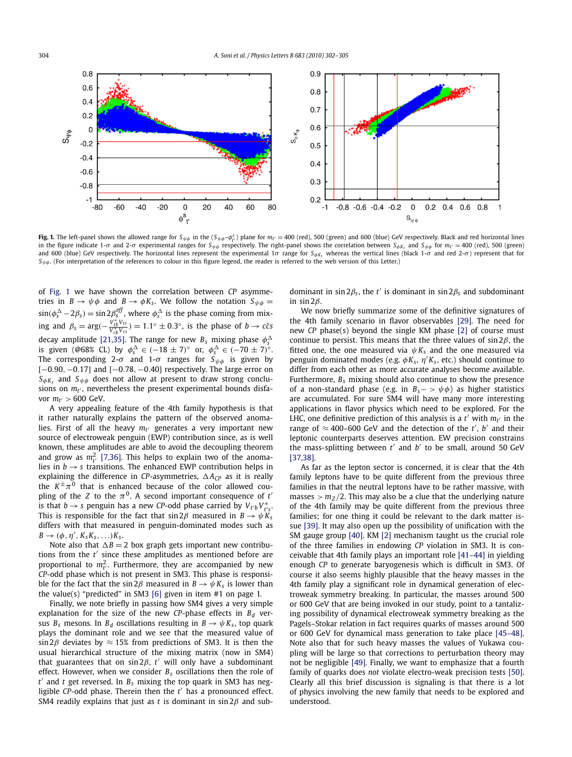<span id="page-2-0"></span>

**Fig. 1.** The left-panel shows the allowed range for  $S_{\psi\phi}$  in the  $(S_{\psi\phi} - \phi_p^s)$  plane for  $m_{t'} = 400$  (red), 500 (green) and 600 (blue) GeV respectively. Black and red horizontal lines in the figure indicate 1- $\sigma$  and 2- $\sigma$  experimental ranges for  $S_{\psi\phi}$  respectively. The right-panel shows the correlation between  $S_{\phi K_5}$  and  $S_{\psi\phi}$  for  $m_t = 400$  (red), 500 (green) and 600 (blue) GeV respectively. The horizontal lines represent the experimental 1σ range for *S*<sub>φ</sub>*K*<sub>*s*</sub> whereas the vertical lines (black 1-σ and red 2-σ) represent that for  $S_{\psi\phi}$ . (For interpretation of the references to colour in this figure legend, the reader is referred to the web version of this Letter.)

of Fig. 1 we have shown the correlation between *CP* asymmetries in  $B \to \psi \phi$  and  $B \to \phi K_s$ . We follow the notation  $S_{\psi \phi} =$  $\sin(\phi_s^{\Delta} - 2\beta_s) = \sin 2\beta_s^{eff}$ , where  $\phi_s^{\Delta}$  is the phase coming from mixing and  $\beta_s = \arg(-\frac{V_{tb}^* V_{ts}}{V_{cb}^* V_{cs}}) = 1.1^\circ \pm 0.3^\circ$ , is the phase of  $b \to c\bar{c}s$ decay amplitude [\[21,35\].](#page-3-0) The range for new  $B_s$  mixing phase  $\phi_s^{\Delta}$ is given (@68% CL) by  $\phi_s^{\Delta} \in (-18 \pm 7)^{\circ}$  or,  $\phi_s^{\Delta} \in (-70 \pm 7)^{\circ}$ . The corresponding 2- $\sigma$  and 1- $\sigma$  ranges for  $S_{\psi\phi}$  is given by [-0.90, -0.17] and [-0.78, -0.40] respectively. The large error on *S*φ*K<sup>s</sup>* and *S*ψφ does not allow at present to draw strong conclusions on *m<sup>t</sup>* ′ , nevertheless the present experimental bounds disfavor  $m_{t'} > 600$  GeV.

A very appealing feature of the 4th family hypothesis is that it rather naturally explains the pattern of the observed anomalies. First of all the heavy *m<sup>t</sup>* ′ generates a very important new source of electroweak penguin (EWP) contribution since, as is well known, these amplitudes are able to avoid the decoupling theorem and grow as  $m_{t'}^2$  [\[7,36\].](#page-3-0) This helps to explain two of the anomalies in  $b \rightarrow s$  transitions. The enhanced EWP contribution helps in explaining the difference in *CP*-asymmetries,  $\Delta A_{CP}$  as it is really the  $K^{\pm}\pi^{0}$  that is enhanced because of the color allowed coupling of the *Z* to the  $\pi^0$ . A second important consequence of  $t'$ *is that b → s penguin has a new CP-odd phase carried by*  $V_{t'b}V_{t's}^*$ *.* This is responsible for the fact that  $\sin 2\beta$  measured in  $B \to \psi \check{K}_s$ differs with that measured in penguin-dominated modes such as  $B \rightarrow (\phi, \eta', K_s K_s, \ldots) K_s.$ 

Note also that  $\Delta B = 2$  box graph gets important new contributions from the *t* ′ since these amplitudes as mentioned before are proportional to  $m_{t'}^2$ . Furthermore, they are accompanied by new *CP*-odd phase which is not present in SM3. This phase is responsible for the fact that the  $\sin 2\beta$  measured in  $B \to \psi K_s$  is lower than the value(s) "predicted" in SM3 [\[6\]](#page-3-0) given in item #1 on page 1.

Finally, we note briefly in passing how SM4 gives a very simple explanation for the size of the new *CP*-phase effects in *B<sup>d</sup>* versus  $B_s$  mesons. In  $B_d$  oscillations resulting in  $B \to \psi K_s$ , top quark plays the dominant role and we see that the measured value of sin 2 $\beta$  deviates by  $\approx$  15% from predictions of SM3. It is then the usual hierarchical structure of the mixing matrix (now in SM4) that guarantees that on sin 2β, *t* ′ will only have a subdominant effect. However, when we consider *B<sup>s</sup>* oscillations then the role of *t* ′ and *t* get reversed. In *B<sup>s</sup>* mixing the top quark in SM3 has negligible *CP*-odd phase. Therein then the *t* ′ has a pronounced effect. SM4 readily explains that just as *t* is dominant in sin  $2\beta$  and subdominant in sin  $2\beta_s$ , the *t'* is dominant in sin  $2\beta_s$  and subdominant in  $sin 2\beta$ .

We now briefly summarize some of the definitive signatures of the 4th family scenario in flavor observables [\[29\].](#page-3-0) The need for new *CP* phase(s) beyond the single KM phase [\[2\]](#page-3-0) of course must continue to persist. This means that the three values of  $\sin 2\beta$ , the fitted one, the one measured via  $\psi K_s$  and the one measured via penguin dominated modes (e.g. φ*K<sup>s</sup>* , η ′*K<sup>s</sup>* , etc.) should continue to differ from each other as more accurate analyses become available. Furthermore, *B<sup>s</sup>* mixing should also continue to show the presence of a non-standard phase (e.g. in  $B_s$ − >  $\psi \phi$ ) as higher statistics are accumulated. For sure SM4 will have many more interesting applications in flavor physics which need to be explored. For the LHC, one definitive prediction of this analysis is a  $t'$  with  $m_{t'}$  in the range of  $\approx$  400–600 GeV and the detection of the *t'*, *b'* and their leptonic counterparts deserves attention. EW precision constrains the mass-splitting between *t* ′ and *b* ′ to be small, around 50 GeV [\[37,38\].](#page-3-0)

As far as the lepton sector is concerned, it is clear that the 4th family leptons have to be quite different from the previous three families in that the neutral leptons have to be rather massive, with masses  $> m_Z/2$ . This may also be a clue that the underlying nature of the 4th family may be quite different from the previous three families; for one thing it could be relevant to the dark matter issue [\[39\].](#page-3-0) It may also open up the possibility of unification with the SM gauge group [\[40\].](#page-3-0) KM [\[2\]](#page-3-0) mechanism taught us the crucial role of the three families in endowing *CP* violation in SM3. It is conceivable that 4th family plays an important role [\[41–44\]](#page-3-0) in yielding enough *CP* to generate baryogenesis which is difficult in SM3. Of course it also seems highly plausible that the heavy masses in the 4th family play a significant role in dynamical generation of electroweak symmetry breaking. In particular, the masses around 500 or 600 GeV that are being invoked in our study, point to a tantalizing possibility of dynamical electroweak symmetry breaking as the Pagels–Stokar relation in fact requires quarks of masses around 500 or 600 GeV for dynamical mass generation to take place [\[45–48\].](#page-3-0) Note also that for such heavy masses the values of Yukawa coupling will be large so that corrections to perturbation theory may not be negligible [\[49\].](#page-3-0) Finally, we want to emphasize that a fourth family of quarks does *not* violate electro-weak precision tests [\[50\].](#page-3-0) Clearly all this brief discussion is signaling is that there is a lot of physics involving the new family that needs to be explored and understood.